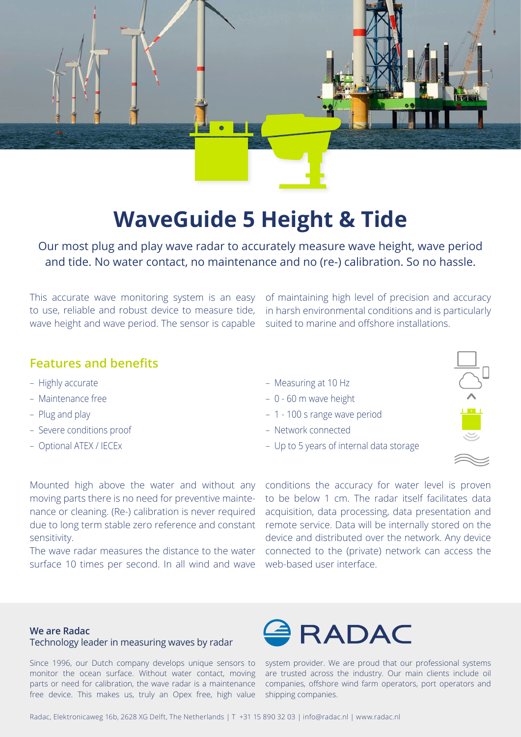

# **WaveGuide 5 Height & Tide**

Our most plug and play wave radar to accurately measure wave height, wave period and tide. No water contact, no maintenance and no (re-) calibration. So no hassle.

This accurate wave monitoring system is an easy to use, reliable and robust device to measure tide, wave height and wave period. The sensor is capable

of maintaining high level of precision and accuracy in harsh environmental conditions and is particularly suited to marine and offshore installations.

## **Features and benefits**

- Highly accurate
- Maintenance free
- Plug and play
- Severe conditions proof
- Optional ATEX / IECEx
- Measuring at 10 Hz
- 0 60 m wave height
- 1 100 s range wave period
- Network connected
- Up to 5 years of internal data storage



moving parts there is no need for preventive maintenance or cleaning. (Re-) calibration is never required due to long term stable zero reference and constant sensitivity.

The wave radar measures the distance to the water surface 10 times per second. In all wind and wave

Mounted high above the water and without any conditions the accuracy for water level is proven to be below 1 cm. The radar itself facilitates data acquisition, data processing, data presentation and remote service. Data will be internally stored on the device and distributed over the network. Any device connected to the (private) network can access the web-based user interface.

### **We are Radac** Technology leader in measuring waves by radar

Since 1996, our Dutch company develops unique sensors to monitor the ocean surface. Without water contact, moving parts or need for calibration, the wave radar is a maintenance free device. This makes us, truly an Opex free, high value



system provider. We are proud that our professional systems are trusted across the industry. Our main clients include oil companies, offshore wind farm operators, port operators and shipping companies.